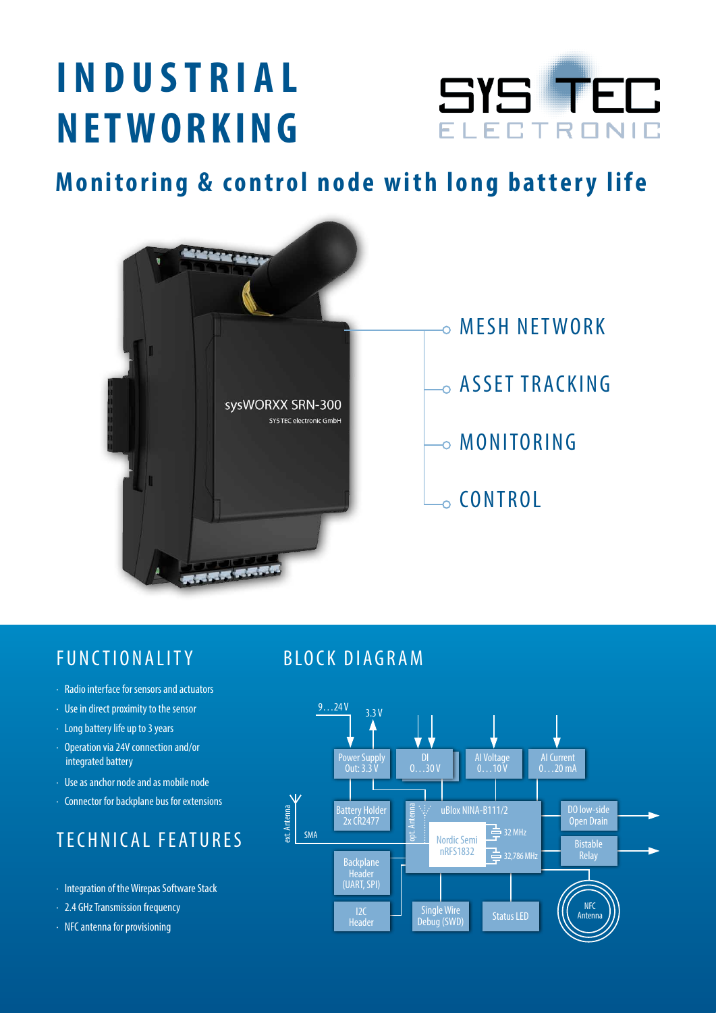# **INDUSTRIAL NETWORKING**



**Monitoring & control node with long battery life**



## Functionality

- · Radio interface for sensors and actuators
- · Use in direct proximity to the sensor
- · Long battery life up to 3 years
- · Operation via 24V connection and/or integrated battery
- · Use as anchor node and as mobile node
- · Connector for backplane bus for extensions

# Technical features

- · Integration of the Wirepas Software Stack
- · 2.4 GHz Transmission frequency
- · NFC antenna for provisioning

#### BLOCK DIAGRAM